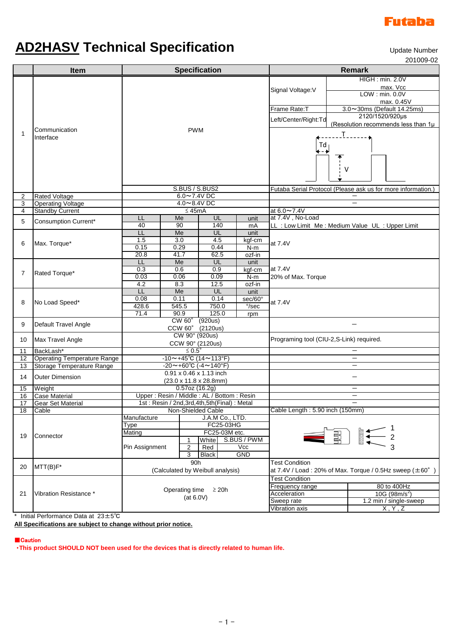

## **AD2HASV Technical Specification**

Update Number

201009-02

|                             | Item                               | <b>Specification</b>                            |                  |                            |                 | <b>Remark</b>                                                                                          |                                                                   |    |                          |                                   |      |                  |  |                 |                                                              |
|-----------------------------|------------------------------------|-------------------------------------------------|------------------|----------------------------|-----------------|--------------------------------------------------------------------------------------------------------|-------------------------------------------------------------------|----|--------------------------|-----------------------------------|------|------------------|--|-----------------|--------------------------------------------------------------|
| 1                           | Communication<br>Interface         |                                                 |                  |                            |                 |                                                                                                        | HIGH : min. 2.0V                                                  |    |                          |                                   |      |                  |  |                 |                                                              |
|                             |                                    |                                                 |                  |                            |                 | Signal Voltage: V<br>LOW: min. 0.0V<br>max. 0.45V                                                      | max. Vcc                                                          |    |                          |                                   |      |                  |  |                 |                                                              |
|                             |                                    |                                                 |                  |                            |                 |                                                                                                        |                                                                   |    |                          |                                   |      |                  |  |                 |                                                              |
|                             |                                    | <b>PWM</b>                                      |                  |                            |                 | Frame Rate:T                                                                                           | 3.0~30ms (Default 14.25ms)                                        |    |                          |                                   |      |                  |  |                 |                                                              |
|                             |                                    |                                                 |                  |                            |                 |                                                                                                        | 2120/1520/920µs                                                   |    |                          |                                   |      |                  |  |                 |                                                              |
|                             |                                    |                                                 |                  |                            |                 | Left/Center/Right:Td                                                                                   | (Resolution recommends less than 1µ                               |    |                          |                                   |      |                  |  |                 |                                                              |
|                             |                                    |                                                 |                  |                            |                 |                                                                                                        | T                                                                 |    |                          |                                   |      |                  |  |                 |                                                              |
|                             |                                    |                                                 |                  |                            |                 | Td<br>∔−∔<br>v                                                                                         |                                                                   |    |                          |                                   |      |                  |  |                 |                                                              |
|                             |                                    |                                                 |                  |                            |                 |                                                                                                        |                                                                   |    |                          |                                   |      |                  |  |                 |                                                              |
|                             |                                    |                                                 |                  |                            |                 |                                                                                                        |                                                                   | 2  | <b>Rated Voltage</b>     | S.BUS / S.BUS2<br>$6.0 - 7.4$ VDC |      |                  |  |                 | Futaba Serial Protocol (Please ask us for more information.) |
|                             |                                    |                                                 |                  |                            |                 |                                                                                                        |                                                                   | 3  | <b>Operating Voltage</b> | 4.0~8.4V DC                       |      |                  |  |                 |                                                              |
|                             |                                    |                                                 |                  |                            |                 |                                                                                                        |                                                                   | 4  | <b>Standby Current</b>   | $\leq 45mA$                       |      |                  |  | at $6.0 - 7.4V$ |                                                              |
|                             |                                    |                                                 |                  |                            |                 | 5                                                                                                      | <b>Consumption Current*</b>                                       | LL | Me                       | UL                                | unit | at 7.4V, No-Load |  |                 |                                                              |
|                             |                                    | 40                                              | 90               | 140                        | mA              |                                                                                                        | LL : Low Limit Me : Medium Value UL : Upper Limit                 |    |                          |                                   |      |                  |  |                 |                                                              |
| 6                           |                                    | LL<br>1.5                                       | Me<br>3.0        | UL<br>4.5                  | unit            |                                                                                                        |                                                                   |    |                          |                                   |      |                  |  |                 |                                                              |
|                             | Max. Torque*                       | 0.15                                            | 0.29             | 0.44                       | kgf-cm<br>$N-m$ | at 7.4V                                                                                                |                                                                   |    |                          |                                   |      |                  |  |                 |                                                              |
|                             |                                    | 20.8                                            | 41.7             | 62.5                       | ozf-in          |                                                                                                        |                                                                   |    |                          |                                   |      |                  |  |                 |                                                              |
| 7                           | Rated Torque*                      | LL                                              | Me               | UL                         | unit            |                                                                                                        |                                                                   |    |                          |                                   |      |                  |  |                 |                                                              |
|                             |                                    | 0.3                                             | 0.6              | 0.9                        | kgf-cm          | at 7.4V                                                                                                |                                                                   |    |                          |                                   |      |                  |  |                 |                                                              |
|                             |                                    | 0.03                                            | 0.06             | 0.09                       | $N-m$           | 20% of Max. Torque                                                                                     |                                                                   |    |                          |                                   |      |                  |  |                 |                                                              |
|                             |                                    | 4.2<br>LL                                       | 8.3<br>Me        | 12.5<br>UL                 | ozf-in<br>unit  |                                                                                                        |                                                                   |    |                          |                                   |      |                  |  |                 |                                                              |
| 8                           | No Load Speed*                     | 0.08                                            | 0.11             | 0.14                       | sec/60°         |                                                                                                        |                                                                   |    |                          |                                   |      |                  |  |                 |                                                              |
|                             |                                    | 428.6                                           | 545.5            | 750.0                      | $\degree$ /sec  | at 7.4V                                                                                                |                                                                   |    |                          |                                   |      |                  |  |                 |                                                              |
|                             |                                    | 71.4                                            | 90.9             | 125.0                      | rpm             |                                                                                                        |                                                                   |    |                          |                                   |      |                  |  |                 |                                                              |
| 9                           | Default Travel Angle               |                                                 | $CW 60^\circ$    | (920us)                    |                 |                                                                                                        |                                                                   |    |                          |                                   |      |                  |  |                 |                                                              |
|                             |                                    |                                                 | CCW 60° (2120us) |                            |                 |                                                                                                        |                                                                   |    |                          |                                   |      |                  |  |                 |                                                              |
| 10                          | Max Travel Angle                   | CW 90° (920us)<br>CCW 90° (2120us)              |                  |                            |                 | Programing tool (CIU-2,S-Link) required.                                                               |                                                                   |    |                          |                                   |      |                  |  |                 |                                                              |
| 11                          | BackLash*                          | $\leq 0.5^{\circ}$                              |                  |                            |                 |                                                                                                        |                                                                   |    |                          |                                   |      |                  |  |                 |                                                              |
| 12 <sup>°</sup>             | <b>Operating Temperature Range</b> | $-10$ ~+45°C (14~113°F)                         |                  |                            |                 |                                                                                                        |                                                                   |    |                          |                                   |      |                  |  |                 |                                                              |
| 13                          | Storage Temperature Range          | $-20$ ~+60°C (-4~140°F)                         |                  |                            |                 |                                                                                                        | $\overline{\phantom{0}}$                                          |    |                          |                                   |      |                  |  |                 |                                                              |
| 14                          | Outer Dimension                    | $0.91 \times 0.46 \times 1.13$ inch             |                  |                            |                 |                                                                                                        |                                                                   |    |                          |                                   |      |                  |  |                 |                                                              |
| 15                          | Weight                             | (23.0 x 11.8 x 28.8mm)<br>$0.57$ oz (16.2g)     |                  |                            |                 |                                                                                                        |                                                                   |    |                          |                                   |      |                  |  |                 |                                                              |
| 16                          | <b>Case Material</b>               | Upper: Resin / Middle: AL / Bottom: Resin       |                  |                            |                 |                                                                                                        |                                                                   |    |                          |                                   |      |                  |  |                 |                                                              |
| 17                          | <b>Gear Set Material</b>           | 1st: Resin / 2nd, 3rd, 4th, 5th (Final) : Metal |                  |                            |                 |                                                                                                        |                                                                   |    |                          |                                   |      |                  |  |                 |                                                              |
| 18                          | Cable                              |                                                 |                  | Non-Shielded Cable         |                 | Cable Length: 5.90 inch (150mm)                                                                        |                                                                   |    |                          |                                   |      |                  |  |                 |                                                              |
| 19                          | Connector                          | Manufacture<br>J.A.M Co., LTD.                  |                  |                            |                 |                                                                                                        |                                                                   |    |                          |                                   |      |                  |  |                 |                                                              |
|                             |                                    | Type<br>Mating                                  |                  | FC25-03HG<br>FC25-03M etc. |                 | $\begin{array}{c}\n\hline\n\text{B} \leftarrow 2 \\ \hline\n\text{C} \leftarrow 3\n\end{array}$<br>E E |                                                                   |    |                          |                                   |      |                  |  |                 |                                                              |
|                             |                                    |                                                 | 1                | White                      | S.BUS / PWM     |                                                                                                        |                                                                   |    |                          |                                   |      |                  |  |                 |                                                              |
|                             |                                    | Pin Assignment                                  | $\overline{c}$   | Vcc<br>Red                 |                 |                                                                                                        |                                                                   |    |                          |                                   |      |                  |  |                 |                                                              |
|                             |                                    | $\overline{3}$<br><b>GND</b><br><b>Black</b>    |                  |                            |                 |                                                                                                        |                                                                   |    |                          |                                   |      |                  |  |                 |                                                              |
| 20                          | $MTT(B)F*$                         | 90h                                             |                  |                            |                 | <b>Test Condition</b>                                                                                  |                                                                   |    |                          |                                   |      |                  |  |                 |                                                              |
|                             |                                    | (Calculated by Weibull analysis)                |                  |                            |                 |                                                                                                        | at 7.4V / Load: 20% of Max. Torque / 0.5Hz sweep $(\pm 60^\circ)$ |    |                          |                                   |      |                  |  |                 |                                                              |
| 21                          | Vibration Resistance *             | Operating time<br>$\geq$ 20h                    |                  |                            |                 | <b>Test Condition</b>                                                                                  |                                                                   |    |                          |                                   |      |                  |  |                 |                                                              |
|                             |                                    |                                                 |                  |                            |                 | Frequency range<br>Acceleration                                                                        | 80 to 400Hz                                                       |    |                          |                                   |      |                  |  |                 |                                                              |
|                             |                                    |                                                 |                  | (at 6.0V)                  |                 | Sweep rate                                                                                             | 10G (98m/s <sup>2</sup> )<br>1.2 min / single-sweep               |    |                          |                                   |      |                  |  |                 |                                                              |
|                             |                                    |                                                 |                  |                            |                 | <b>Vibration axis</b>                                                                                  | X, Y, Z                                                           |    |                          |                                   |      |                  |  |                 |                                                              |
| $\sim$ $\sim$ $\sim$ $\sim$ |                                    |                                                 |                  |                            |                 |                                                                                                        |                                                                   |    |                          |                                   |      |                  |  |                 |                                                              |

Initial Performance Data at 23±5℃

**All Specifications are subject to change without prior notice.**

■Caution

・**This product SHOULD NOT been used for the devices that is directly related to human life.**